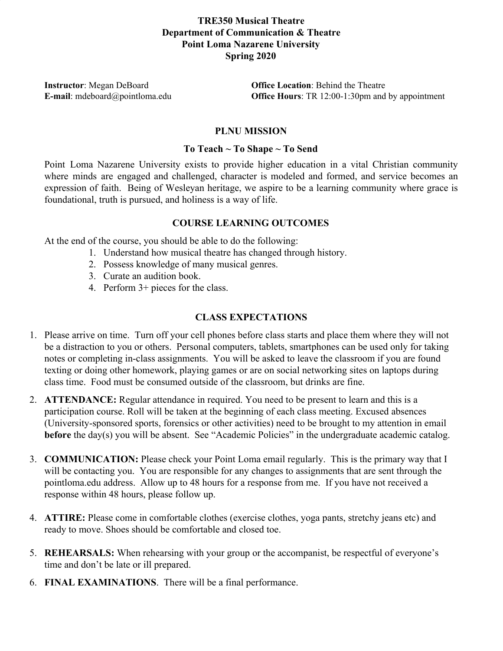# **TRE350 Musical Theatre Department of Communication & Theatre Point Loma Nazarene University Spring 2020**

**Instructor**: Megan DeBoard **Office Location**: Behind the Theatre **E-mail**: mdeboard@pointloma.edu **Office Hours**: TR 12:00-1:30pm and by appointment

## **PLNU MISSION**

### **To Teach ~ To Shape ~ To Send**

Point Loma Nazarene University exists to provide higher education in a vital Christian community where minds are engaged and challenged, character is modeled and formed, and service becomes an expression of faith. Being of Wesleyan heritage, we aspire to be a learning community where grace is foundational, truth is pursued, and holiness is a way of life.

### **COURSE LEARNING OUTCOMES**

At the end of the course, you should be able to do the following:

- 1. Understand how musical theatre has changed through history.
- 2. Possess knowledge of many musical genres.
- 3. Curate an audition book.
- 4. Perform 3+ pieces for the class.

### **CLASS EXPECTATIONS**

- 1. Please arrive on time. Turn off your cell phones before class starts and place them where they will not be a distraction to you or others. Personal computers, tablets, smartphones can be used only for taking notes or completing in-class assignments. You will be asked to leave the classroom if you are found texting or doing other homework, playing games or are on social networking sites on laptops during class time. Food must be consumed outside of the classroom, but drinks are fine.
- 2. **ATTENDANCE:** Regular attendance in required. You need to be present to learn and this is a participation course. Roll will be taken at the beginning of each class meeting. Excused absences (University-sponsored sports, forensics or other activities) need to be brought to my attention in email **before** the day(s) you will be absent. See "Academic Policies" in the undergraduate academic catalog.
- 3. **COMMUNICATION:** Please check your Point Loma email regularly. This is the primary way that I will be contacting you. You are responsible for any changes to assignments that are sent through the pointloma.edu address. Allow up to 48 hours for a response from me. If you have not received a response within 48 hours, please follow up.
- 4. **ATTIRE:** Please come in comfortable clothes (exercise clothes, yoga pants, stretchy jeans etc) and ready to move. Shoes should be comfortable and closed toe.
- 5. **REHEARSALS:** When rehearsing with your group or the accompanist, be respectful of everyone's time and don't be late or ill prepared.
- 6. **FINAL EXAMINATIONS**. There will be a final performance.